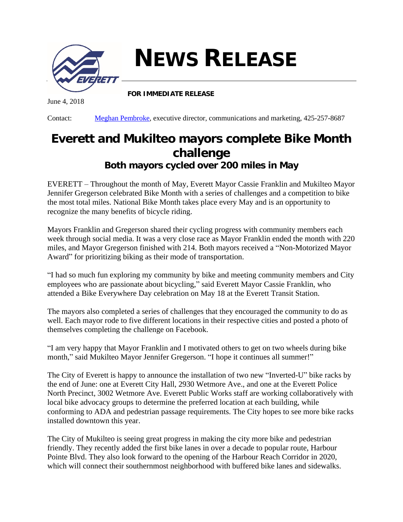

## **NEWS RELEASE**

**FOR IMMEDIATE RELEASE**

June 4, 2018

Contact: [Meghan Pembroke](mailto:mpembroke@everettwa.gov), executive director, communications and marketing, 425-257-8687

## **Everett and Mukilteo mayors complete Bike Month challenge** *Both mayors cycled over 200 miles in May*

EVERETT – Throughout the month of May, Everett Mayor Cassie Franklin and Mukilteo Mayor Jennifer Gregerson celebrated Bike Month with a series of challenges and a competition to bike the most total miles. National Bike Month takes place every May and is an opportunity to recognize the many benefits of bicycle riding.

Mayors Franklin and Gregerson shared their cycling progress with community members each week through social media. It was a very close race as Mayor Franklin ended the month with 220 miles, and Mayor Gregerson finished with 214. Both mayors received a "Non-Motorized Mayor Award" for prioritizing biking as their mode of transportation.

"I had so much fun exploring my community by bike and meeting community members and City employees who are passionate about bicycling," said Everett Mayor Cassie Franklin, who attended a Bike Everywhere Day celebration on May 18 at the Everett Transit Station.

The mayors also completed a series of challenges that they encouraged the community to do as well. Each mayor rode to five different locations in their respective cities and posted a photo of themselves completing the challenge on Facebook.

"I am very happy that Mayor Franklin and I motivated others to get on two wheels during bike month," said Mukilteo Mayor Jennifer Gregerson. "I hope it continues all summer!"

The City of Everett is happy to announce the installation of two new "Inverted-U" bike racks by the end of June: one at Everett City Hall, 2930 Wetmore Ave., and one at the Everett Police North Precinct, 3002 Wetmore Ave. Everett Public Works staff are working collaboratively with local bike advocacy groups to determine the preferred location at each building, while conforming to ADA and pedestrian passage requirements. The City hopes to see more bike racks installed downtown this year.

The City of Mukilteo is seeing great progress in making the city more bike and pedestrian friendly. They recently added the first bike lanes in over a decade to popular route, Harbour Pointe Blvd. They also look forward to the opening of the Harbour Reach Corridor in 2020, which will connect their southernmost neighborhood with buffered bike lanes and sidewalks.